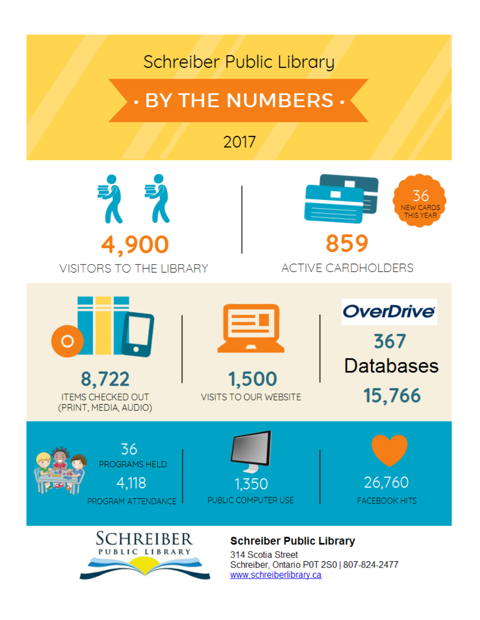## Schreiber Public Library

# **. BY THE NUMBERS .**

### 2017





#### **ACTIVE CARDHOLDERS**



**ITEMS CHECKED OUT** (PRINT, MEDIA, AUDIO)



1,500 **VISITS TO OUR WEBSITE**  **OverDrive** 367 **Databases** 15,766









#### **Schreiber Public Library**

314 Scotia Street Schreiber, Ontario P0T 2S0 | 807-824-2477 www.schreiberlibrary.ca